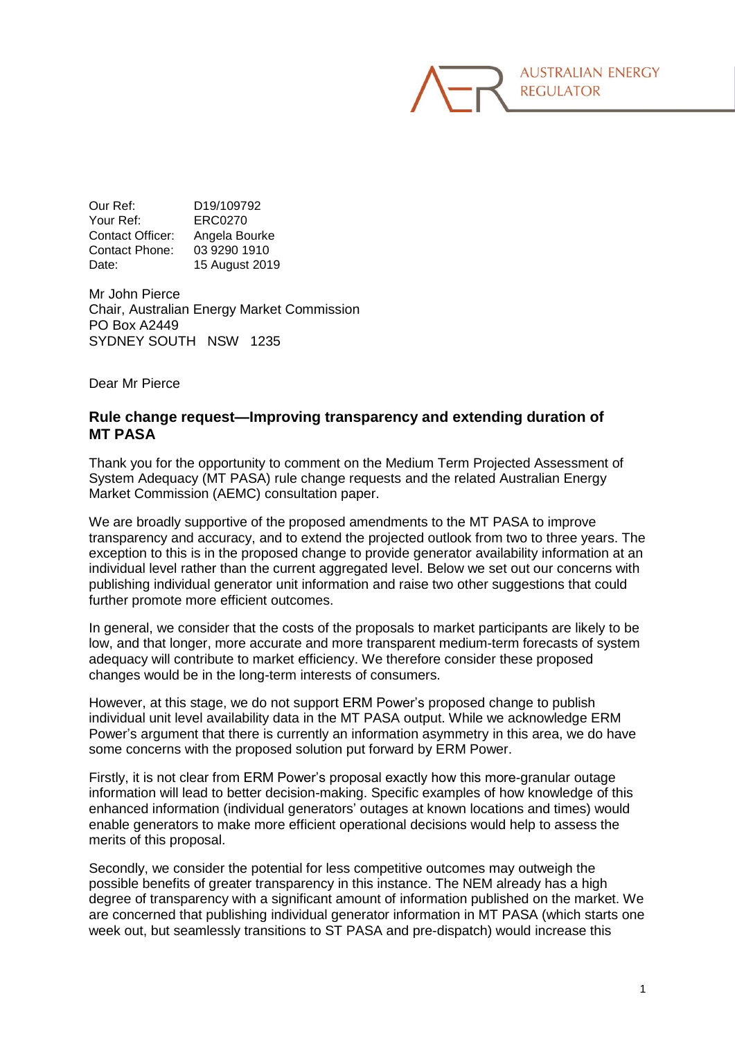Our Ref: D19/109792 Your Ref: ERC0270 Contact Officer: Angela Bourke Contact Phone: 03 9290 1910 Date: 15 August 2019

Mr John Pierce Chair, Australian Energy Market Commission PO Box A2449 SYDNEY SOUTH NSW 1235

Dear Mr Pierce

## **Rule change request—Improving transparency and extending duration of MT PASA**

Thank you for the opportunity to comment on the Medium Term Projected Assessment of System Adequacy (MT PASA) rule change requests and the related Australian Energy Market Commission (AEMC) consultation paper.

We are broadly supportive of the proposed amendments to the MT PASA to improve transparency and accuracy, and to extend the projected outlook from two to three years. The exception to this is in the proposed change to provide generator availability information at an individual level rather than the current aggregated level. Below we set out our concerns with publishing individual generator unit information and raise two other suggestions that could further promote more efficient outcomes.

In general, we consider that the costs of the proposals to market participants are likely to be low, and that longer, more accurate and more transparent medium-term forecasts of system adequacy will contribute to market efficiency. We therefore consider these proposed changes would be in the long-term interests of consumers.

However, at this stage, we do not support ERM Power's proposed change to publish individual unit level availability data in the MT PASA output. While we acknowledge ERM Power's argument that there is currently an information asymmetry in this area, we do have some concerns with the proposed solution put forward by ERM Power.

Firstly, it is not clear from ERM Power's proposal exactly how this more-granular outage information will lead to better decision-making. Specific examples of how knowledge of this enhanced information (individual generators' outages at known locations and times) would enable generators to make more efficient operational decisions would help to assess the merits of this proposal.

Secondly, we consider the potential for less competitive outcomes may outweigh the possible benefits of greater transparency in this instance. The NEM already has a high degree of transparency with a significant amount of information published on the market. We are concerned that publishing individual generator information in MT PASA (which starts one week out, but seamlessly transitions to ST PASA and pre-dispatch) would increase this